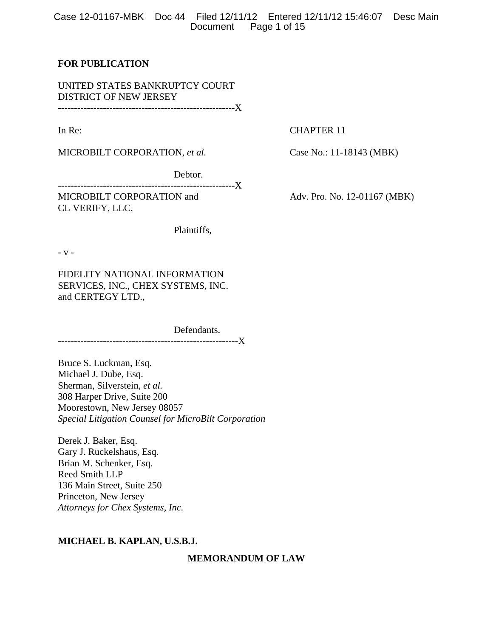Case 12-01167-MBK Doc 44 Filed 12/11/12 Entered 12/11/12 15:46:07 Desc Main Document Page 1 of 15

## **FOR PUBLICATION**

UNITED STATES BANKRUPTCY COURT DISTRICT OF NEW JERSEY -------------------------------------------------------X

In Re: CHAPTER 11

MICROBILT CORPORATION, *et al.* Case No.: 11-18143 (MBK)

Debtor.

-------------------------------------------------------X

CL VERIFY, LLC,

Plaintiffs,

- v -

FIDELITY NATIONAL INFORMATION SERVICES, INC., CHEX SYSTEMS, INC. and CERTEGY LTD.,

 Defendants. --------------------------------------------------------X

Bruce S. Luckman, Esq. Michael J. Dube, Esq. Sherman, Silverstein, *et al.*  308 Harper Drive, Suite 200 Moorestown, New Jersey 08057 *Special Litigation Counsel for MicroBilt Corporation* 

Derek J. Baker, Esq. Gary J. Ruckelshaus, Esq. Brian M. Schenker, Esq. Reed Smith LLP 136 Main Street, Suite 250 Princeton, New Jersey *Attorneys for Chex Systems, Inc.* 

## **MICHAEL B. KAPLAN, U.S.B.J.**

**MEMORANDUM OF LAW** 

MICROBILT CORPORATION and Adv. Pro. No. 12-01167 (MBK)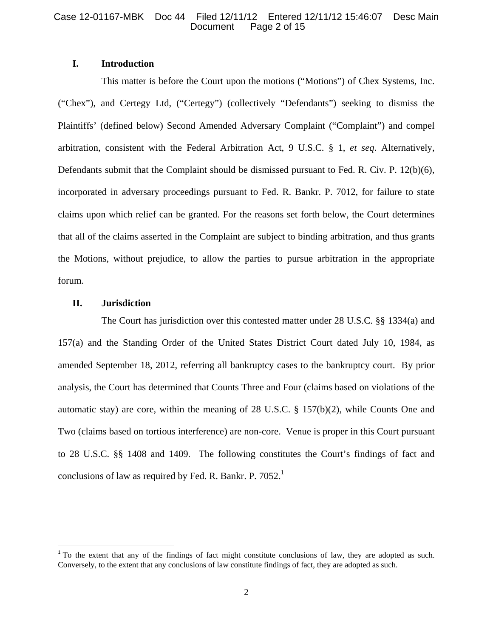# **I. Introduction**

 This matter is before the Court upon the motions ("Motions") of Chex Systems, Inc. ("Chex"), and Certegy Ltd, ("Certegy") (collectively "Defendants") seeking to dismiss the Plaintiffs' (defined below) Second Amended Adversary Complaint ("Complaint") and compel arbitration, consistent with the Federal Arbitration Act, 9 U.S.C. § 1, *et seq*. Alternatively, Defendants submit that the Complaint should be dismissed pursuant to Fed. R. Civ. P. 12(b)(6), incorporated in adversary proceedings pursuant to Fed. R. Bankr. P. 7012, for failure to state claims upon which relief can be granted. For the reasons set forth below, the Court determines that all of the claims asserted in the Complaint are subject to binding arbitration, and thus grants the Motions, without prejudice, to allow the parties to pursue arbitration in the appropriate forum.

# **II. Jurisdiction**

 The Court has jurisdiction over this contested matter under 28 U.S.C. §§ 1334(a) and 157(a) and the Standing Order of the United States District Court dated July 10, 1984, as amended September 18, 2012, referring all bankruptcy cases to the bankruptcy court. By prior analysis, the Court has determined that Counts Three and Four (claims based on violations of the automatic stay) are core, within the meaning of 28 U.S.C. § 157(b)(2), while Counts One and Two (claims based on tortious interference) are non-core. Venue is proper in this Court pursuant to 28 U.S.C. §§ 1408 and 1409. The following constitutes the Court's findings of fact and conclusions of law as required by Fed. R. Bankr. P.  $7052<sup>1</sup>$ 

<sup>&</sup>lt;sup>1</sup> To the extent that any of the findings of fact might constitute conclusions of law, they are adopted as such. Conversely, to the extent that any conclusions of law constitute findings of fact, they are adopted as such.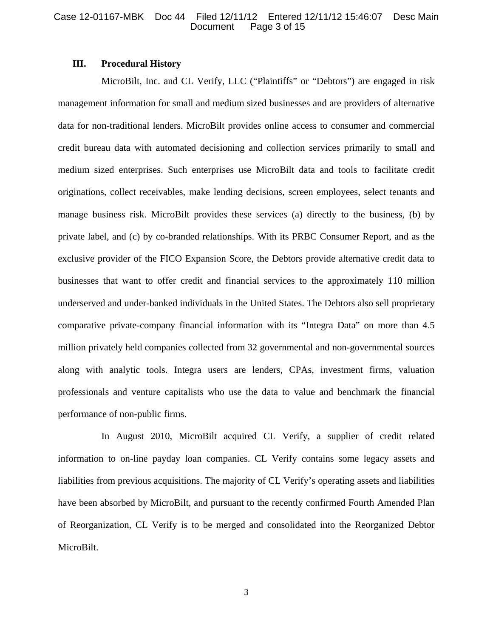# **III. Procedural History**

MicroBilt, Inc. and CL Verify, LLC ("Plaintiffs" or "Debtors") are engaged in risk management information for small and medium sized businesses and are providers of alternative data for non-traditional lenders. MicroBilt provides online access to consumer and commercial credit bureau data with automated decisioning and collection services primarily to small and medium sized enterprises. Such enterprises use MicroBilt data and tools to facilitate credit originations, collect receivables, make lending decisions, screen employees, select tenants and manage business risk. MicroBilt provides these services (a) directly to the business, (b) by private label, and (c) by co-branded relationships. With its PRBC Consumer Report, and as the exclusive provider of the FICO Expansion Score, the Debtors provide alternative credit data to businesses that want to offer credit and financial services to the approximately 110 million underserved and under-banked individuals in the United States. The Debtors also sell proprietary comparative private-company financial information with its "Integra Data" on more than 4.5 million privately held companies collected from 32 governmental and non-governmental sources along with analytic tools. Integra users are lenders, CPAs, investment firms, valuation professionals and venture capitalists who use the data to value and benchmark the financial performance of non-public firms.

In August 2010, MicroBilt acquired CL Verify, a supplier of credit related information to on-line payday loan companies. CL Verify contains some legacy assets and liabilities from previous acquisitions. The majority of CL Verify's operating assets and liabilities have been absorbed by MicroBilt, and pursuant to the recently confirmed Fourth Amended Plan of Reorganization, CL Verify is to be merged and consolidated into the Reorganized Debtor MicroBilt.

3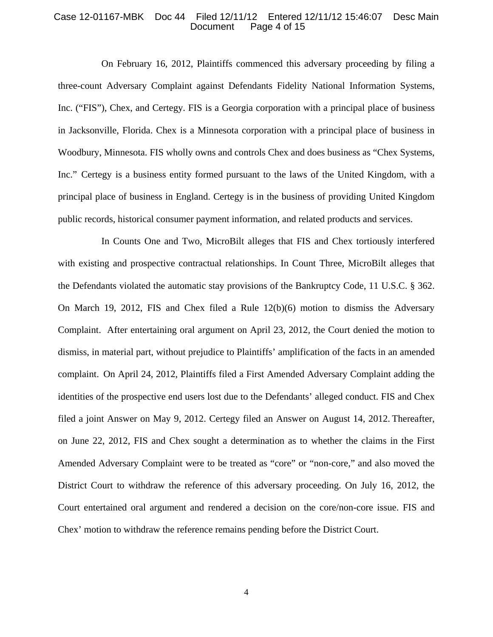#### Case 12-01167-MBK Doc 44 Filed 12/11/12 Entered 12/11/12 15:46:07 Desc Main Page 4 of 15

On February 16, 2012, Plaintiffs commenced this adversary proceeding by filing a three-count Adversary Complaint against Defendants Fidelity National Information Systems, Inc. ("FIS"), Chex, and Certegy. FIS is a Georgia corporation with a principal place of business in Jacksonville, Florida. Chex is a Minnesota corporation with a principal place of business in Woodbury, Minnesota. FIS wholly owns and controls Chex and does business as "Chex Systems, Inc." Certegy is a business entity formed pursuant to the laws of the United Kingdom, with a principal place of business in England. Certegy is in the business of providing United Kingdom public records, historical consumer payment information, and related products and services.

In Counts One and Two, MicroBilt alleges that FIS and Chex tortiously interfered with existing and prospective contractual relationships. In Count Three, MicroBilt alleges that the Defendants violated the automatic stay provisions of the Bankruptcy Code, 11 U.S.C. § 362. On March 19, 2012, FIS and Chex filed a Rule 12(b)(6) motion to dismiss the Adversary Complaint. After entertaining oral argument on April 23, 2012, the Court denied the motion to dismiss, in material part, without prejudice to Plaintiffs' amplification of the facts in an amended complaint. On April 24, 2012, Plaintiffs filed a First Amended Adversary Complaint adding the identities of the prospective end users lost due to the Defendants' alleged conduct. FIS and Chex filed a joint Answer on May 9, 2012. Certegy filed an Answer on August 14, 2012. Thereafter, on June 22, 2012, FIS and Chex sought a determination as to whether the claims in the First Amended Adversary Complaint were to be treated as "core" or "non-core," and also moved the District Court to withdraw the reference of this adversary proceeding. On July 16, 2012, the Court entertained oral argument and rendered a decision on the core/non-core issue. FIS and Chex' motion to withdraw the reference remains pending before the District Court.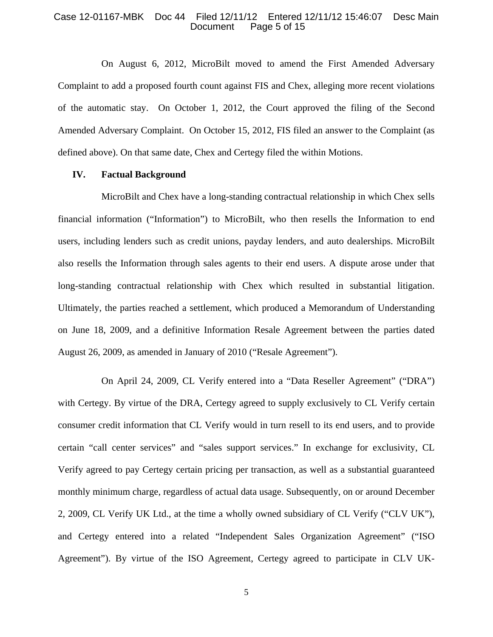## Case 12-01167-MBK Doc 44 Filed 12/11/12 Entered 12/11/12 15:46:07 Desc Main Page 5 of 15

On August 6, 2012, MicroBilt moved to amend the First Amended Adversary Complaint to add a proposed fourth count against FIS and Chex, alleging more recent violations of the automatic stay. On October 1, 2012, the Court approved the filing of the Second Amended Adversary Complaint. On October 15, 2012, FIS filed an answer to the Complaint (as defined above). On that same date, Chex and Certegy filed the within Motions.

## **IV. Factual Background**

MicroBilt and Chex have a long-standing contractual relationship in which Chex sells financial information ("Information") to MicroBilt, who then resells the Information to end users, including lenders such as credit unions, payday lenders, and auto dealerships. MicroBilt also resells the Information through sales agents to their end users. A dispute arose under that long-standing contractual relationship with Chex which resulted in substantial litigation. Ultimately, the parties reached a settlement, which produced a Memorandum of Understanding on June 18, 2009, and a definitive Information Resale Agreement between the parties dated August 26, 2009, as amended in January of 2010 ("Resale Agreement").

On April 24, 2009, CL Verify entered into a "Data Reseller Agreement" ("DRA") with Certegy. By virtue of the DRA, Certegy agreed to supply exclusively to CL Verify certain consumer credit information that CL Verify would in turn resell to its end users, and to provide certain "call center services" and "sales support services." In exchange for exclusivity, CL Verify agreed to pay Certegy certain pricing per transaction, as well as a substantial guaranteed monthly minimum charge, regardless of actual data usage. Subsequently, on or around December 2, 2009, CL Verify UK Ltd., at the time a wholly owned subsidiary of CL Verify ("CLV UK"), and Certegy entered into a related "Independent Sales Organization Agreement" ("ISO Agreement"). By virtue of the ISO Agreement, Certegy agreed to participate in CLV UK-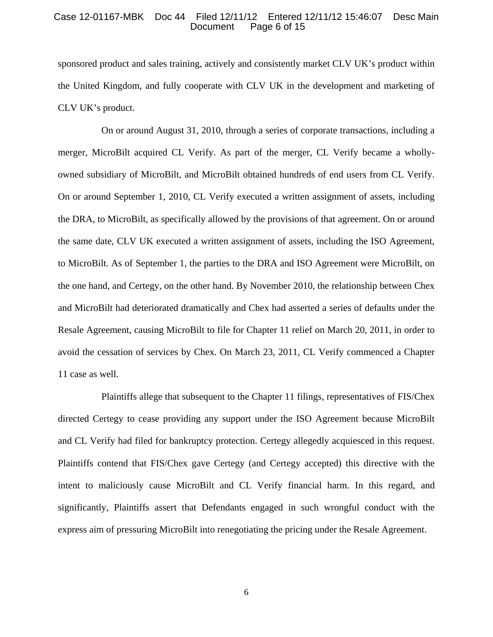#### Case 12-01167-MBK Doc 44 Filed 12/11/12 Entered 12/11/12 15:46:07 Desc Main Page 6 of 15

sponsored product and sales training, actively and consistently market CLV UK's product within the United Kingdom, and fully cooperate with CLV UK in the development and marketing of CLV UK's product.

On or around August 31, 2010, through a series of corporate transactions, including a merger, MicroBilt acquired CL Verify. As part of the merger, CL Verify became a whollyowned subsidiary of MicroBilt, and MicroBilt obtained hundreds of end users from CL Verify. On or around September 1, 2010, CL Verify executed a written assignment of assets, including the DRA, to MicroBilt, as specifically allowed by the provisions of that agreement. On or around the same date, CLV UK executed a written assignment of assets, including the ISO Agreement, to MicroBilt. As of September 1, the parties to the DRA and ISO Agreement were MicroBilt, on the one hand, and Certegy, on the other hand. By November 2010, the relationship between Chex and MicroBilt had deteriorated dramatically and Chex had asserted a series of defaults under the Resale Agreement, causing MicroBilt to file for Chapter 11 relief on March 20, 2011, in order to avoid the cessation of services by Chex. On March 23, 2011, CL Verify commenced a Chapter 11 case as well.

Plaintiffs allege that subsequent to the Chapter 11 filings, representatives of FIS/Chex directed Certegy to cease providing any support under the ISO Agreement because MicroBilt and CL Verify had filed for bankruptcy protection. Certegy allegedly acquiesced in this request. Plaintiffs contend that FIS/Chex gave Certegy (and Certegy accepted) this directive with the intent to maliciously cause MicroBilt and CL Verify financial harm. In this regard, and significantly, Plaintiffs assert that Defendants engaged in such wrongful conduct with the express aim of pressuring MicroBilt into renegotiating the pricing under the Resale Agreement.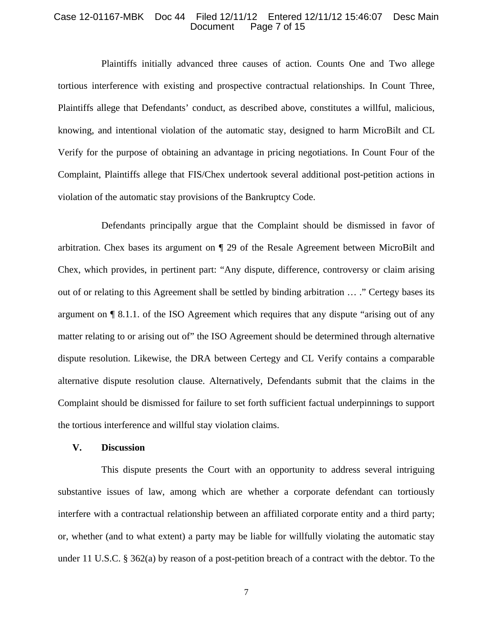### Case 12-01167-MBK Doc 44 Filed 12/11/12 Entered 12/11/12 15:46:07 Desc Main Page 7 of 15

Plaintiffs initially advanced three causes of action. Counts One and Two allege tortious interference with existing and prospective contractual relationships. In Count Three, Plaintiffs allege that Defendants' conduct, as described above, constitutes a willful, malicious, knowing, and intentional violation of the automatic stay, designed to harm MicroBilt and CL Verify for the purpose of obtaining an advantage in pricing negotiations. In Count Four of the Complaint, Plaintiffs allege that FIS/Chex undertook several additional post-petition actions in violation of the automatic stay provisions of the Bankruptcy Code.

Defendants principally argue that the Complaint should be dismissed in favor of arbitration. Chex bases its argument on ¶ 29 of the Resale Agreement between MicroBilt and Chex, which provides, in pertinent part: "Any dispute, difference, controversy or claim arising out of or relating to this Agreement shall be settled by binding arbitration … ." Certegy bases its argument on ¶ 8.1.1. of the ISO Agreement which requires that any dispute "arising out of any matter relating to or arising out of" the ISO Agreement should be determined through alternative dispute resolution. Likewise, the DRA between Certegy and CL Verify contains a comparable alternative dispute resolution clause. Alternatively, Defendants submit that the claims in the Complaint should be dismissed for failure to set forth sufficient factual underpinnings to support the tortious interference and willful stay violation claims.

### **V. Discussion**

This dispute presents the Court with an opportunity to address several intriguing substantive issues of law, among which are whether a corporate defendant can tortiously interfere with a contractual relationship between an affiliated corporate entity and a third party; or, whether (and to what extent) a party may be liable for willfully violating the automatic stay under 11 U.S.C. § 362(a) by reason of a post-petition breach of a contract with the debtor. To the

7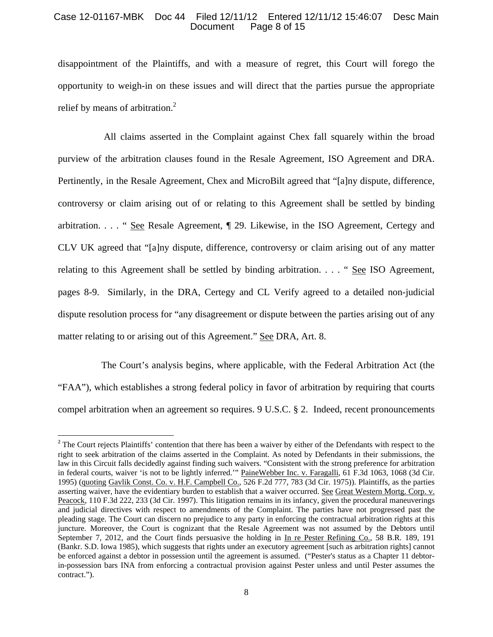## Case 12-01167-MBK Doc 44 Filed 12/11/12 Entered 12/11/12 15:46:07 Desc Main Page 8 of 15

disappointment of the Plaintiffs, and with a measure of regret, this Court will forego the opportunity to weigh-in on these issues and will direct that the parties pursue the appropriate relief by means of arbitration.<sup>2</sup>

 All claims asserted in the Complaint against Chex fall squarely within the broad purview of the arbitration clauses found in the Resale Agreement, ISO Agreement and DRA. Pertinently, in the Resale Agreement, Chex and MicroBilt agreed that "[a]ny dispute, difference, controversy or claim arising out of or relating to this Agreement shall be settled by binding arbitration. . . . " See Resale Agreement, ¶ 29. Likewise, in the ISO Agreement, Certegy and CLV UK agreed that "[a]ny dispute, difference, controversy or claim arising out of any matter relating to this Agreement shall be settled by binding arbitration. . . . " See ISO Agreement, pages 8-9. Similarly, in the DRA, Certegy and CL Verify agreed to a detailed non-judicial dispute resolution process for "any disagreement or dispute between the parties arising out of any matter relating to or arising out of this Agreement." See DRA, Art. 8.

The Court's analysis begins, where applicable, with the Federal Arbitration Act (the "FAA"), which establishes a strong federal policy in favor of arbitration by requiring that courts compel arbitration when an agreement so requires. 9 U.S.C. § 2. Indeed, recent pronouncements

<sup>&</sup>lt;sup>2</sup> The Court rejects Plaintiffs' contention that there has been a waiver by either of the Defendants with respect to the right to seek arbitration of the claims asserted in the Complaint. As noted by Defendants in their submissions, the law in this Circuit falls decidedly against finding such waivers. "Consistent with the strong preference for arbitration in federal courts, waiver 'is not to be lightly inferred.'" PaineWebber Inc. v. Faragalli, 61 F.3d 1063, 1068 (3d Cir. 1995) (quoting Gavlik Const. Co. v. H.F. Campbell Co., 526 F.2d 777, 783 (3d Cir. 1975)). Plaintiffs, as the parties asserting waiver, have the evidentiary burden to establish that a waiver occurred. See Great Western Mortg. Corp. v. Peacock, 110 F.3d 222, 233 (3d Cir. 1997). This litigation remains in its infancy, given the procedural maneuverings and judicial directives with respect to amendments of the Complaint. The parties have not progressed past the pleading stage. The Court can discern no prejudice to any party in enforcing the contractual arbitration rights at this juncture. Moreover, the Court is cognizant that the Resale Agreement was not assumed by the Debtors until September 7, 2012, and the Court finds persuasive the holding in In re Pester Refining Co., 58 B.R. 189, 191 (Bankr. S.D. Iowa 1985), which suggests that rights under an executory agreement [such as arbitration rights] cannot be enforced against a debtor in possession until the agreement is assumed. ("Pester's status as a Chapter 11 debtorin-possession bars INA from enforcing a contractual provision against Pester unless and until Pester assumes the contract.").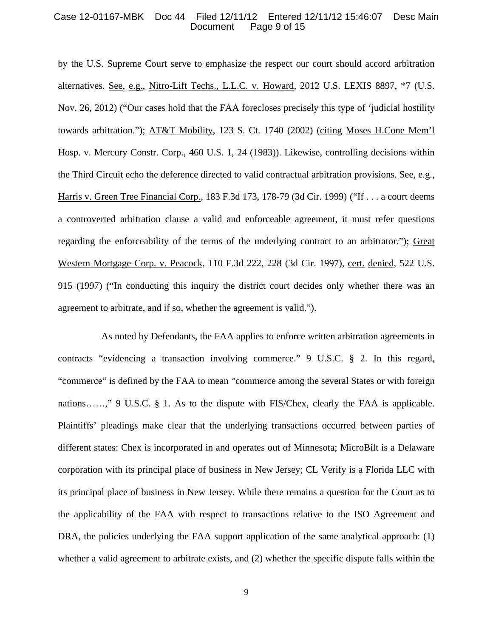#### Case 12-01167-MBK Doc 44 Filed 12/11/12 Entered 12/11/12 15:46:07 Desc Main Page 9 of 15

by the U.S. Supreme Court serve to emphasize the respect our court should accord arbitration alternatives. See, e.g., Nitro-Lift Techs., L.L.C. v. Howard, 2012 U.S. LEXIS 8897, \*7 (U.S. Nov. 26, 2012) ("Our cases hold that the FAA forecloses precisely this type of 'judicial hostility towards arbitration."); AT&T Mobility, 123 S. Ct. 1740 (2002) (citing Moses H.Cone Mem'l Hosp. v. Mercury Constr. Corp., 460 U.S. 1, 24 (1983)). Likewise, controlling decisions within the Third Circuit echo the deference directed to valid contractual arbitration provisions. See, e.g., Harris v. Green Tree Financial Corp., 183 F.3d 173, 178-79 (3d Cir. 1999) ("If . . . a court deems a controverted arbitration clause a valid and enforceable agreement, it must refer questions regarding the enforceability of the terms of the underlying contract to an arbitrator."); Great Western Mortgage Corp. v. Peacock, 110 F.3d 222, 228 (3d Cir. 1997), cert. denied, 522 U.S. 915 (1997) ("In conducting this inquiry the district court decides only whether there was an agreement to arbitrate, and if so, whether the agreement is valid.").

As noted by Defendants, the FAA applies to enforce written arbitration agreements in contracts "evidencing a transaction involving commerce." 9 U.S.C. § 2. In this regard, "commerce" is defined by the FAA to mean "commerce among the several States or with foreign nations……," 9 U.S.C. § 1. As to the dispute with FIS/Chex, clearly the FAA is applicable. Plaintiffs' pleadings make clear that the underlying transactions occurred between parties of different states: Chex is incorporated in and operates out of Minnesota; MicroBilt is a Delaware corporation with its principal place of business in New Jersey; CL Verify is a Florida LLC with its principal place of business in New Jersey. While there remains a question for the Court as to the applicability of the FAA with respect to transactions relative to the ISO Agreement and DRA, the policies underlying the FAA support application of the same analytical approach: (1) whether a valid agreement to arbitrate exists, and (2) whether the specific dispute falls within the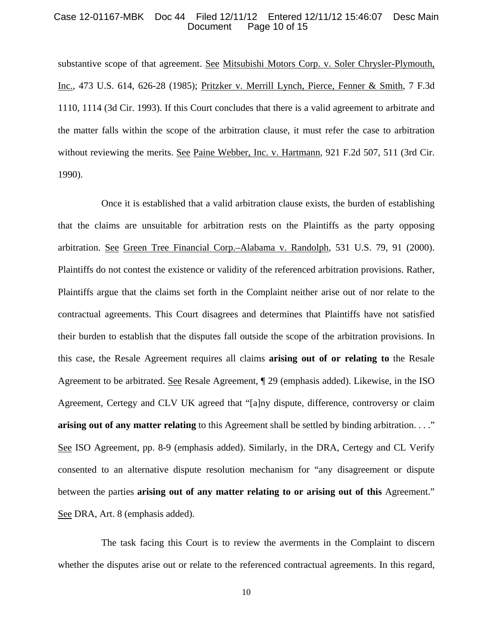## Case 12-01167-MBK Doc 44 Filed 12/11/12 Entered 12/11/12 15:46:07 Desc Main Page 10 of 15

substantive scope of that agreement. See Mitsubishi Motors Corp. v. Soler Chrysler-Plymouth, Inc., 473 U.S. 614, 626-28 (1985); Pritzker v. Merrill Lynch, Pierce, Fenner & Smith, 7 F.3d 1110, 1114 (3d Cir. 1993). If this Court concludes that there is a valid agreement to arbitrate and the matter falls within the scope of the arbitration clause, it must refer the case to arbitration without reviewing the merits. See Paine Webber, Inc. v. Hartmann, 921 F.2d 507, 511 (3rd Cir. 1990).

Once it is established that a valid arbitration clause exists, the burden of establishing that the claims are unsuitable for arbitration rests on the Plaintiffs as the party opposing arbitration. See Green Tree Financial Corp.–Alabama v. Randolph, 531 U.S. 79, 91 (2000). Plaintiffs do not contest the existence or validity of the referenced arbitration provisions. Rather, Plaintiffs argue that the claims set forth in the Complaint neither arise out of nor relate to the contractual agreements. This Court disagrees and determines that Plaintiffs have not satisfied their burden to establish that the disputes fall outside the scope of the arbitration provisions. In this case, the Resale Agreement requires all claims **arising out of or relating to** the Resale Agreement to be arbitrated. See Resale Agreement, ¶ 29 (emphasis added). Likewise, in the ISO Agreement, Certegy and CLV UK agreed that "[a]ny dispute, difference, controversy or claim **arising out of any matter relating** to this Agreement shall be settled by binding arbitration. . . ." See ISO Agreement, pp. 8-9 (emphasis added). Similarly, in the DRA, Certegy and CL Verify consented to an alternative dispute resolution mechanism for "any disagreement or dispute between the parties **arising out of any matter relating to or arising out of this** Agreement." See DRA, Art. 8 (emphasis added).

The task facing this Court is to review the averments in the Complaint to discern whether the disputes arise out or relate to the referenced contractual agreements. In this regard,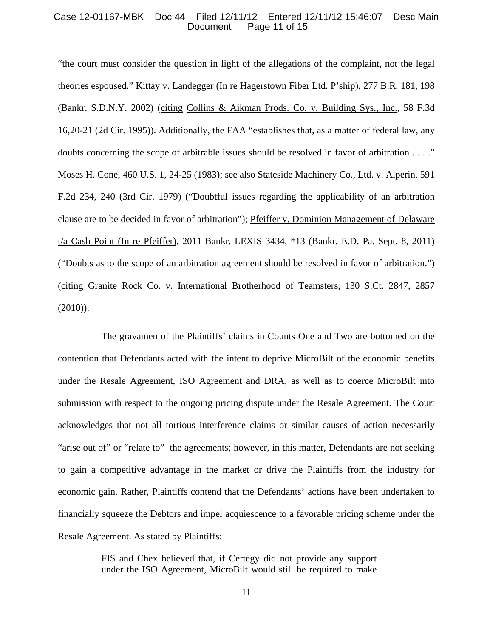### Case 12-01167-MBK Doc 44 Filed 12/11/12 Entered 12/11/12 15:46:07 Desc Main Page 11 of 15

"the court must consider the question in light of the allegations of the complaint, not the legal theories espoused." Kittay v. Landegger (In re Hagerstown Fiber Ltd. P'ship), 277 B.R. 181, 198 (Bankr. S.D.N.Y. 2002) (citing Collins & Aikman Prods. Co. v. Building Sys., Inc., 58 F.3d 16,20-21 (2d Cir. 1995)). Additionally, the FAA "establishes that, as a matter of federal law, any doubts concerning the scope of arbitrable issues should be resolved in favor of arbitration . . . ." Moses H. Cone, 460 U.S. 1, 24-25 (1983); see also Stateside Machinery Co., Ltd. v. Alperin, 591 F.2d 234, 240 (3rd Cir. 1979) ("Doubtful issues regarding the applicability of an arbitration clause are to be decided in favor of arbitration"); Pfeiffer v. Dominion Management of Delaware t/a Cash Point (In re Pfeiffer), 2011 Bankr. LEXIS 3434, \*13 (Bankr. E.D. Pa. Sept. 8, 2011) ("Doubts as to the scope of an arbitration agreement should be resolved in favor of arbitration.") (citing Granite Rock Co. v. International Brotherhood of Teamsters, 130 S.Ct. 2847, 2857 (2010)).

The gravamen of the Plaintiffs' claims in Counts One and Two are bottomed on the contention that Defendants acted with the intent to deprive MicroBilt of the economic benefits under the Resale Agreement, ISO Agreement and DRA, as well as to coerce MicroBilt into submission with respect to the ongoing pricing dispute under the Resale Agreement. The Court acknowledges that not all tortious interference claims or similar causes of action necessarily "arise out of" or "relate to" the agreements; however, in this matter, Defendants are not seeking to gain a competitive advantage in the market or drive the Plaintiffs from the industry for economic gain. Rather, Plaintiffs contend that the Defendants' actions have been undertaken to financially squeeze the Debtors and impel acquiescence to a favorable pricing scheme under the Resale Agreement. As stated by Plaintiffs:

> FIS and Chex believed that, if Certegy did not provide any support under the ISO Agreement, MicroBilt would still be required to make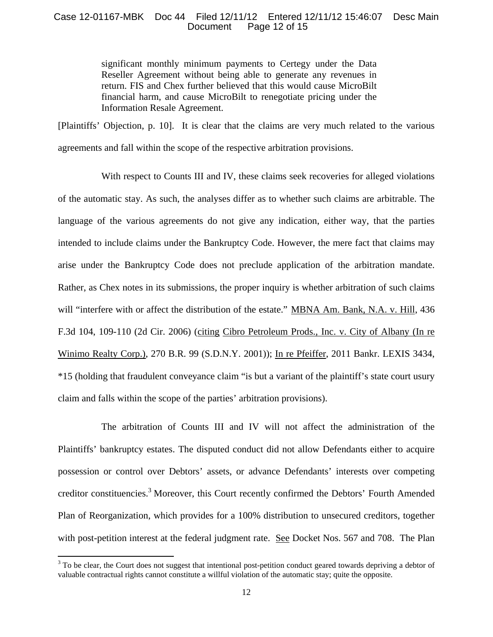# Case 12-01167-MBK Doc 44 Filed 12/11/12 Entered 12/11/12 15:46:07 Desc Main Page 12 of 15

significant monthly minimum payments to Certegy under the Data Reseller Agreement without being able to generate any revenues in return. FIS and Chex further believed that this would cause MicroBilt financial harm, and cause MicroBilt to renegotiate pricing under the Information Resale Agreement.

[Plaintiffs' Objection, p. 10]. It is clear that the claims are very much related to the various agreements and fall within the scope of the respective arbitration provisions.

With respect to Counts III and IV, these claims seek recoveries for alleged violations of the automatic stay. As such, the analyses differ as to whether such claims are arbitrable. The language of the various agreements do not give any indication, either way, that the parties intended to include claims under the Bankruptcy Code. However, the mere fact that claims may arise under the Bankruptcy Code does not preclude application of the arbitration mandate. Rather, as Chex notes in its submissions, the proper inquiry is whether arbitration of such claims will "interfere with or affect the distribution of the estate." MBNA Am. Bank, N.A. v. Hill, 436 F.3d 104, 109-110 (2d Cir. 2006) (citing Cibro Petroleum Prods., Inc. v. City of Albany (In re Winimo Realty Corp.), 270 B.R. 99 (S.D.N.Y. 2001)); In re Pfeiffer, 2011 Bankr. LEXIS 3434, \*15 (holding that fraudulent conveyance claim "is but a variant of the plaintiff's state court usury claim and falls within the scope of the parties' arbitration provisions).

The arbitration of Counts III and IV will not affect the administration of the Plaintiffs' bankruptcy estates. The disputed conduct did not allow Defendants either to acquire possession or control over Debtors' assets, or advance Defendants' interests over competing creditor constituencies.<sup>3</sup> Moreover, this Court recently confirmed the Debtors' Fourth Amended Plan of Reorganization, which provides for a 100% distribution to unsecured creditors, together with post-petition interest at the federal judgment rate. See Docket Nos. 567 and 708. The Plan

<sup>&</sup>lt;sup>3</sup> To be clear, the Court does not suggest that intentional post-petition conduct geared towards depriving a debtor of valuable contractual rights cannot constitute a willful violation of the automatic stay; quite the opposite.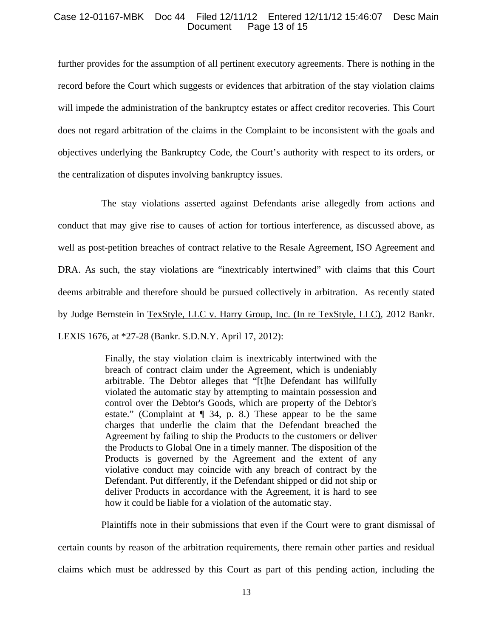# Case 12-01167-MBK Doc 44 Filed 12/11/12 Entered 12/11/12 15:46:07 Desc Main Page 13 of 15

further provides for the assumption of all pertinent executory agreements. There is nothing in the record before the Court which suggests or evidences that arbitration of the stay violation claims will impede the administration of the bankruptcy estates or affect creditor recoveries. This Court does not regard arbitration of the claims in the Complaint to be inconsistent with the goals and objectives underlying the Bankruptcy Code, the Court's authority with respect to its orders, or the centralization of disputes involving bankruptcy issues.

The stay violations asserted against Defendants arise allegedly from actions and conduct that may give rise to causes of action for tortious interference, as discussed above, as well as post-petition breaches of contract relative to the Resale Agreement, ISO Agreement and DRA. As such, the stay violations are "inextricably intertwined" with claims that this Court deems arbitrable and therefore should be pursued collectively in arbitration. As recently stated by Judge Bernstein in TexStyle, LLC v. Harry Group, Inc. (In re TexStyle, LLC), 2012 Bankr. LEXIS 1676, at \*27-28 (Bankr. S.D.N.Y. April 17, 2012):

> Finally, the stay violation claim is inextricably intertwined with the breach of contract claim under the Agreement, which is undeniably arbitrable. The Debtor alleges that "[t]he Defendant has willfully violated the automatic stay by attempting to maintain possession and control over the Debtor's Goods, which are property of the Debtor's estate." (Complaint at  $\P$  34, p. 8.) These appear to be the same charges that underlie the claim that the Defendant breached the Agreement by failing to ship the Products to the customers or deliver the Products to Global One in a timely manner. The disposition of the Products is governed by the Agreement and the extent of any violative conduct may coincide with any breach of contract by the Defendant. Put differently, if the Defendant shipped or did not ship or deliver Products in accordance with the Agreement, it is hard to see how it could be liable for a violation of the automatic stay.

Plaintiffs note in their submissions that even if the Court were to grant dismissal of certain counts by reason of the arbitration requirements, there remain other parties and residual claims which must be addressed by this Court as part of this pending action, including the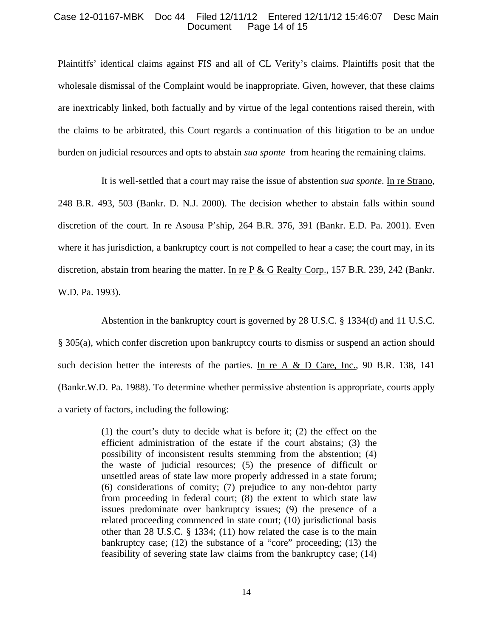## Case 12-01167-MBK Doc 44 Filed 12/11/12 Entered 12/11/12 15:46:07 Desc Main Page 14 of 15

Plaintiffs' identical claims against FIS and all of CL Verify's claims. Plaintiffs posit that the wholesale dismissal of the Complaint would be inappropriate. Given, however, that these claims are inextricably linked, both factually and by virtue of the legal contentions raised therein, with the claims to be arbitrated, this Court regards a continuation of this litigation to be an undue burden on judicial resources and opts to abstain *sua sponte* from hearing the remaining claims.

It is well-settled that a court may raise the issue of abstention *sua sponte*. In re Strano, 248 B.R. 493, 503 (Bankr. D. N.J. 2000). The decision whether to abstain falls within sound discretion of the court. In re Asousa P'ship, 264 B.R. 376, 391 (Bankr. E.D. Pa. 2001). Even where it has jurisdiction, a bankruptcy court is not compelled to hear a case; the court may, in its discretion, abstain from hearing the matter. In re  $P & G$  Realty Corp., 157 B.R. 239, 242 (Bankr. W.D. Pa. 1993).

Abstention in the bankruptcy court is governed by 28 U.S.C. § 1334(d) and 11 U.S.C. § 305(a), which confer discretion upon bankruptcy courts to dismiss or suspend an action should such decision better the interests of the parties. In re A & D Care, Inc., 90 B.R. 138, 141 (Bankr.W.D. Pa. 1988). To determine whether permissive abstention is appropriate, courts apply a variety of factors, including the following:

> (1) the court's duty to decide what is before it; (2) the effect on the efficient administration of the estate if the court abstains; (3) the possibility of inconsistent results stemming from the abstention; (4) the waste of judicial resources; (5) the presence of difficult or unsettled areas of state law more properly addressed in a state forum; (6) considerations of comity; (7) prejudice to any non-debtor party from proceeding in federal court; (8) the extent to which state law issues predominate over bankruptcy issues; (9) the presence of a related proceeding commenced in state court; (10) jurisdictional basis other than 28 U.S.C. § 1334; (11) how related the case is to the main bankruptcy case; (12) the substance of a "core" proceeding; (13) the feasibility of severing state law claims from the bankruptcy case; (14)